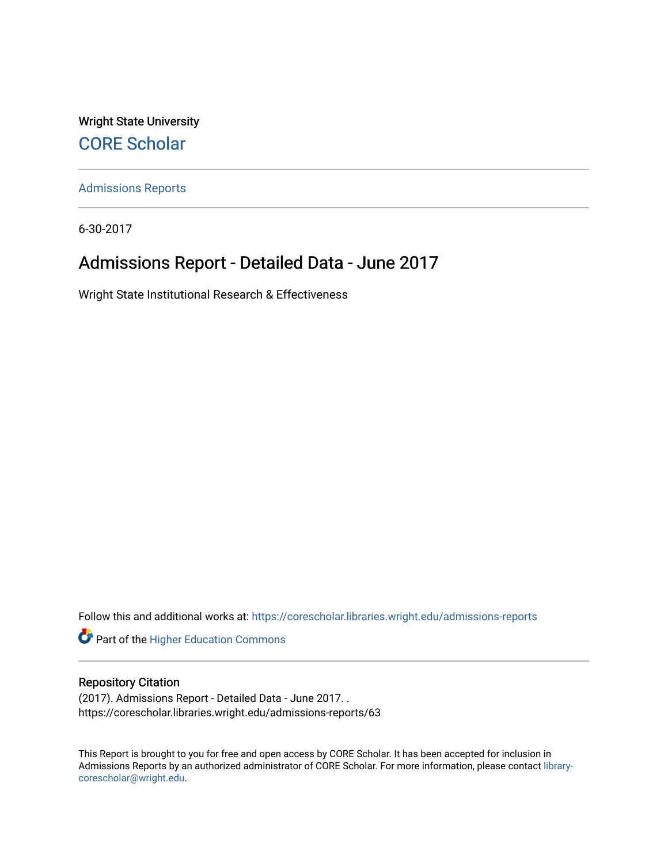Wright State University [CORE Scholar](https://corescholar.libraries.wright.edu/)

[Admissions Reports](https://corescholar.libraries.wright.edu/admissions-reports) 

6-30-2017

## Admissions Report - Detailed Data - June 2017

Wright State Institutional Research & Effectiveness

Follow this and additional works at: [https://corescholar.libraries.wright.edu/admissions-reports](https://corescholar.libraries.wright.edu/admissions-reports?utm_source=corescholar.libraries.wright.edu%2Fadmissions-reports%2F63&utm_medium=PDF&utm_campaign=PDFCoverPages) 

**Part of the Higher Education Commons** 

### Repository Citation

(2017). Admissions Report - Detailed Data - June 2017. . https://corescholar.libraries.wright.edu/admissions-reports/63

This Report is brought to you for free and open access by CORE Scholar. It has been accepted for inclusion in Admissions Reports by an authorized administrator of CORE Scholar. For more information, please contact [library](mailto:library-corescholar@wright.edu)[corescholar@wright.edu](mailto:library-corescholar@wright.edu).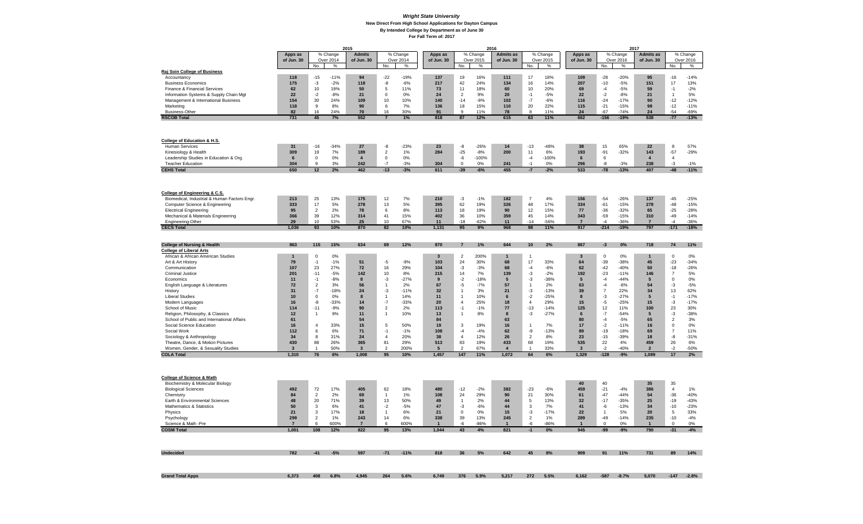### *Wright State University* **New Direct From High School Applications for Dayton Campus By Intended College by Department as of June 30 For Fall Term of: 2017**

|                                                                          | 2015                           |                      |                   |                                |                    |                   |                        | 2016                 | 2017              |                       |                    |                   |                                |                |                 |                       |                |                   |
|--------------------------------------------------------------------------|--------------------------------|----------------------|-------------------|--------------------------------|--------------------|-------------------|------------------------|----------------------|-------------------|-----------------------|--------------------|-------------------|--------------------------------|----------------|-----------------|-----------------------|----------------|-------------------|
|                                                                          | Apps as                        |                      | % Change          | <b>Admits</b>                  |                    | % Change          | Apps as                |                      | % Change          | <b>Admits as</b>      |                    | % Change          | Apps as                        |                | $%$ Change      | <b>Admits as</b>      |                | % Change          |
|                                                                          | of Jun. 30                     | No.                  | Over 2014<br>$\%$ | of Jun. 30                     | No.                | Over 2014<br>$\%$ | of Jun. 30             | No.                  | Over 2015<br>$\%$ | of Jun. 30            | No.                | Over 2015<br>$\%$ | of Jun. 30                     | No.            | Over 2016<br>%  | of Jun. 30            | No.            | Over 2016<br>$\%$ |
| Raj Soin College of Business                                             |                                |                      |                   |                                |                    |                   |                        |                      |                   |                       |                    |                   |                                |                |                 |                       |                |                   |
| Accountancy                                                              | 118                            | $-15$                | $-11%$            | 94                             | $-22$              | $-19%$            | 137                    | 19                   | 16%               | 111                   | 17                 | 18%               | 109                            | $-28$          | $-20%$          | 95                    | $-16$          | $-14%$            |
| <b>Business Economics</b>                                                | 175                            | $-3$                 | $-2%$             | 118                            | -8                 | $-6%$             | 217                    | 42                   | 24%               | 134                   | 16                 | 14%               | 207                            | $-10$          | $-5%$           | 151                   | 17             | 13%               |
| Finance & Financial Services                                             | 62                             | 10                   | 19%               | 50                             | 5                  | 11%               | 73                     | 11                   | 18%               | 60                    | 10                 | 20%               | 69                             | $-4$           | $-5%$           | 59                    | $-1$           | $-2%$             |
| Information Systems & Supply Chain Mgt                                   | 22                             | $-2$                 | $-8%$             | 21                             | $\mathbf 0$        | 0%                | 24                     | $\overline{2}$       | 9%                | 20                    | $-1$               | $-5%$             | 22                             | $-2$           | $-8%$           | 21                    | $\overline{1}$ | 5%                |
| Management & International Business                                      | 154                            | 30                   | 24%               | 109                            | 10                 | 10%               | 140                    | $-14$                | $-9%$             | 102                   | $-7$               | $-6%$             | 116                            | $-24$          | $-17%$          | 90                    | $-12$          | $-12%$            |
| Marketing                                                                | 118                            | 9                    | 8%                | 90                             | 6                  | 7%                | 136                    | 18                   | 15%               | 110                   | 20                 | 22%               | 115                            | $-21$          | $-15%$          | 98                    | $-12$          | $-11%$            |
| <b>Business-Other</b>                                                    | 82                             | 16                   | 24%               | 70                             | 16                 | 30%               | 91                     | 9                    | 11%               | 78                    | 8                  | 11%               | 24                             | $-67$          | $-74%$          | 24                    | $-54$          | $-69%$            |
| <b>RSCOB Total</b>                                                       | 731                            | 45                   | 7%                | 552                            | $\overline{7}$     | 1%                | 818                    | 87                   | 12%               | 615                   | 63                 | 11%               | 662                            | $-156$         | $-19%$          | 538                   | $-77$          | $-13%$            |
|                                                                          |                                |                      |                   |                                |                    |                   |                        |                      |                   |                       |                    |                   |                                |                |                 |                       |                |                   |
|                                                                          |                                |                      |                   |                                |                    |                   |                        |                      |                   |                       |                    |                   |                                |                |                 |                       |                |                   |
| College of Education & H.S.                                              |                                |                      |                   |                                |                    |                   |                        |                      |                   |                       |                    |                   |                                |                |                 |                       |                |                   |
| <b>Human Services</b>                                                    | 31                             | $-16$                | $-34%$            | 27                             | -8                 | $-23%$            | 23                     | -8                   | $-26%$            | 14                    | $-13$              | $-48%$            | 38                             | 15             | 65%             | 22                    | 8              | 57%               |
| Kinesiology & Health                                                     | 309                            | 19                   | 7%                | 189                            | $\overline{2}$     | 1%                | 284                    | $-25$                | $-8%$             | 200                   | 11                 | $6\%$             | 193                            | $-91$          | $-32%$          | 143                   | $-57$          | $-29%$            |
| Leadership Studies in Education & Org.                                   | $\bf 6$                        | $\mathbf 0$          | 0%                | $\overline{4}$                 | $\pmb{0}$          | 0%                |                        | $-6$                 | $-100%$           |                       | $-4$               | $-100%$           | 6                              | 6              |                 | $\overline{4}$        | $\overline{4}$ |                   |
| <b>Teacher Education</b>                                                 | 304                            | 9                    | 3%                | 242                            | $-7$               | $-3%$             | 304                    | $\mathsf 0$          | 0%                | 241                   | $-1$               | 0%                | 296                            | $-8$           | $-3%$           | 238                   | $-3$           | $-1%$             |
| <b>CEHS Total</b>                                                        | 650                            | 12                   | 2%                | 462                            | $-13$              | $-3%$             | 611                    | $-39$                | $-6%$             | 455                   | $-7$               | $-2%$             | 533                            | $-78$          | $-13%$          | 407                   | $-48$          | $-11%$            |
|                                                                          |                                |                      |                   |                                |                    |                   |                        |                      |                   |                       |                    |                   |                                |                |                 |                       |                |                   |
|                                                                          |                                |                      |                   |                                |                    |                   |                        |                      |                   |                       |                    |                   |                                |                |                 |                       |                |                   |
| College of Engineering & C.S.                                            |                                |                      |                   |                                |                    |                   |                        |                      |                   |                       |                    |                   |                                |                |                 |                       |                |                   |
| Biomedical, Industrial & Human Factors Engr.                             | 213                            | 25                   | 13%               | 175                            | 12                 | 7%                | 210                    | $-3$                 | $-1%$             | 182                   | $\overline{7}$     | 4%                | 156                            | $-54$          | $-26%$          | 137                   | $-45$          | $-25%$            |
| Computer Science & Engineering                                           | 333                            | 17                   | 5%                | 278                            | 13                 | 5%                | 395                    | 62                   | 19%               | 326                   | 48                 | 17%               | 334                            | $-61$          | $-15%$          | 278                   | $-48$          | $-15%$            |
| <b>Electrical Engineering</b>                                            | 95                             | $\overline{2}$       | 2%                | 78                             | 6                  | 8%                | 113                    | 18                   | 19%               | 90                    | 12                 | 15%               | 77                             | $-36$          | $-32%$          | 65                    | $-25$          | $-28%$            |
| Mechanical & Materials Engineering                                       | 366                            | 39                   | 12%               | 314                            | 41                 | 15%               | 402                    | 36                   | 10%               | 359                   | 45                 | 14%               | 343                            | $-59$          | $-15%$          | 310                   | $-49$          | $-14%$            |
| Engineering-Other                                                        | 29                             | 10                   | 53%               | 25                             | 10                 | 67%               | 11                     | $-18$                | $-62%$            | 11                    | $-14$              | $-56%$            | $\overline{7}$                 | $-4$           | $-36%$          | $\overline{7}$        | $-4$           | -36%              |
| <b>CECS Total</b>                                                        | 1,036                          | 93                   | 10%               | 870                            | 82                 | 10%               | 1,131                  | 95                   | 9%                | 968                   | 98                 | 11%               | 917                            | $-214$         | $-19%$          | 797                   | $-171$         | $-18%$            |
|                                                                          |                                |                      |                   |                                |                    |                   |                        |                      |                   |                       |                    |                   |                                |                |                 |                       |                |                   |
|                                                                          |                                |                      |                   |                                |                    |                   |                        |                      |                   |                       |                    |                   |                                |                |                 |                       |                |                   |
| <b>College of Nursing &amp; Health</b><br><b>College of Liberal Arts</b> | 863                            | 115                  | 15%               | 634                            | 69                 | 12%               | 870                    | $\overline{7}$       | 1%                | 644                   | $10$               | 2%                | 867                            | $-3$           | $0\%$           | 718                   | 74             | 11%               |
| African & African American Studies                                       | $\mathbf{1}$                   | $\mathbf 0$          | 0%                |                                |                    |                   | 3                      | $\overline{2}$       | 200%              | $\mathbf{1}$          | $\mathbf{1}$       |                   | 3                              | $\mathbf 0$    | $0\%$           | $\mathbf{1}$          | $\mathbf 0$    | 0%                |
| Art & Art History                                                        | 79                             | $-1$                 | $-1%$             | 51                             | $-5$               | $-9%$             | 103                    | 24                   | 30%               | 68                    | 17                 | 33%               | 64                             | $-39$          | $-38%$          | 45                    | $-23$          | $-34%$            |
| Communication                                                            | 107                            | 23                   | 27%               | 72                             | 16                 | 29%               | 104                    | $-3$                 | $-3%$             | 68                    | $-4$               | $-6%$             | 62                             | $-42$          | $-40%$          | 50                    | $-18$          | $-26%$            |
| <b>Criminal Justice</b>                                                  | 201                            | $-11$                | $-5%$             | 142                            | 10                 | 8%                | 215                    | 14                   | 7%                | 139                   | $-3$               | $-2%$             | 192                            | $-23$          | $-11%$          | 146                   | $\overline{7}$ | 5%                |
| Economics                                                                | 11                             | $-1$                 | $-8%$             | 8                              | $-3$               | $-27%$            | 9                      | $-2$                 | $-18%$            | 5                     | $-3$               | $-38%$            | $5\phantom{.0}$                | $-4$           | $-44%$          | 5                     | $\mathbf 0$    | 0%                |
| English Language & Literatures                                           | 72                             | $\overline{2}$       | 3%                | 56                             | $\mathbf{1}$       | 2%                | 67                     | $-5$                 | $-7%$             | 57                    | $\overline{1}$     | 2%                | 63                             | $-4$           | $-6%$           | 54                    | $-3$           | $-5%$             |
| History                                                                  | 31                             | $-7$                 | $-18%$            | 24                             | $-3$               | $-11%$            | 32                     | $\mathbf{1}$         | 3%                | 21                    | $-3$               | $-13%$            | 39                             | $\overline{7}$ | 22%             | 34                    | 13             | 62%               |
| <b>Liberal Studies</b>                                                   | 10                             | $\mathbf 0$          | 0%                | 8                              | $\mathbf{1}$       | 14%               | 11                     | $\mathbf{1}$         | 10%               | $6\phantom{1}6$       | $-2$               | $-25%$            | 8                              | $-3$           | $-27%$          | 5                     | $-1$           | $-17%$            |
| Modern Languages                                                         | 16                             | -8                   | $-33%$            | 14                             | $-7$               | $-33%$            | 20                     | $\overline{4}$       | 25%               | 18                    | $\overline{4}$     | 29%               | 15                             | $-5$           | $-25%$          | 15                    | $-3$           | $-17%$            |
| School of Music                                                          | 114                            | $-11$                | $-9%$             | 90                             | $\overline{2}$     | 2%                | 113                    | $-1$                 | $-1%$             | 77                    | $-13$              | $-14%$            | 125                            | 12             | 11%             | 100                   | 23             | 30%               |
| Religion, Philosophy, & Classics                                         | 12                             | $\overline{1}$       | 9%                | 11                             | $\overline{1}$     | 10%               | 13                     | $\mathbf{1}$         | $8\%$             | 8                     | $-3$               | $-27%$            | $6\phantom{1}$                 | $-7$           | $-54%$          | 5                     | $-3$           | $-38%$            |
| School of Public and International Affairs                               | 61                             |                      |                   | 54                             |                    |                   | 84                     |                      |                   | 63                    |                    |                   | 80                             | $-4$           | $-5%$           | 65                    | $\overline{2}$ | 3%                |
| Social Science Education                                                 | 16                             | $\overline{4}$       | 33%               | 15                             | 5                  | 50%               | 19                     | 3                    | 19%               | 16                    | -1                 | 7%                | 17                             | $-2$           | $-11%$          | 16                    | $\mathbf 0$    | 0%                |
| Social Work                                                              | 112                            | 6                    | 6%                | 71                             | $-1$               | $-1%$             | 108                    | $-4$                 | $-4%$             | 62                    | -9                 | $-13%$            | 89                             | $-19$          | $-18%$          | 69                    | $\overline{7}$ | 11%               |
| Sociology & Anthropology                                                 | 34                             | 8                    | 31%               | 24                             | $\overline{4}$     | 20%               | 38                     | $\overline{4}$       | 12%               | 26                    | 2                  | 8%                | 23                             | $-15$          | $-39%$          | 18                    | $-8$           | $-31%$            |
| Theatre, Dance, & Motion Pictures<br>Women, Gender, & Sexuality Studies  | 430<br>$\overline{\mathbf{3}}$ | 88<br>$\mathbf{1}$   | 26%<br>50%        | 365<br>$\overline{\mathbf{3}}$ | 81<br>2            | 29%<br>200%       | 513<br>$5\overline{5}$ | 83<br>$\overline{2}$ | 19%<br>67%        | 433<br>$\overline{4}$ | 68<br>$\mathbf{1}$ | 19%<br>33%        | 535<br>$\overline{\mathbf{3}}$ | 22<br>$-2$     | 4%<br>$-40%$    | 459<br>$\overline{2}$ | 26<br>$-2$     | 6%<br>$-50%$      |
| <b>COLA Total</b>                                                        | 1,310                          | 76                   | 6%                | 1,008                          | 95                 | 10%               | 1,457                  | 147                  | 11%               | 1,072                 | 64                 | 6%                | 1,329                          | $-128$         | $-9%$           | 1,089                 | 17             | 2%                |
|                                                                          |                                |                      |                   |                                |                    |                   |                        |                      |                   |                       |                    |                   |                                |                |                 |                       |                |                   |
|                                                                          |                                |                      |                   |                                |                    |                   |                        |                      |                   |                       |                    |                   |                                |                |                 |                       |                |                   |
|                                                                          |                                |                      |                   |                                |                    |                   |                        |                      |                   |                       |                    |                   |                                |                |                 |                       |                |                   |
| College of Science & Math                                                |                                |                      |                   |                                |                    |                   |                        |                      |                   |                       |                    |                   |                                |                |                 |                       |                |                   |
| Biochemistry & Molecular Biology                                         |                                |                      |                   |                                |                    |                   |                        |                      |                   |                       |                    |                   | 40                             | 40             |                 | 35                    | 35             |                   |
| <b>Biological Sciences</b>                                               | 492                            | 72                   | 17%<br>2%         | 405                            | 62                 | 18%               | 480                    | $-12$                | $-2%$             | 382                   | $-23$              | $-6%$<br>30%      | 459                            | $-21$<br>$-47$ | $-4%$<br>$-44%$ | 386                   | $\overline{4}$ | 1%<br>$-40%$      |
| Chemistry<br>Earth & Environmental Sciences                              | 84<br>48                       | $\overline{2}$<br>20 | 71%               | 69<br>39                       | $\mathbf{1}$<br>13 | 1%<br>50%         | 108<br>49              | 24<br>$\mathbf{1}$   | 29%<br>2%         | 90<br>44              | 21<br>5            | 13%               | 61<br>32                       | $-17$          | $-35%$          | 54<br>25              | $-36$<br>$-19$ | $-43%$            |
| Mathematics & Statistics                                                 | 50                             | 3                    | 6%                | 41                             | $-2$               | $-5%$             | 47                     | -3                   | $-6%$             | 44                    | 3                  | 7%                | 41                             | -6             | $-13%$          | 34                    | $-10$          | $-23%$            |
| Physics                                                                  | 21                             | 3                    | 17%               | 18                             | $\mathbf{1}$       | 6%                | 21                     | $\mathsf 0$          | 0%                | 15                    | $-3$               | $-17%$            | 22                             | $\mathbf{1}$   | 5%              | 20                    | 5              | 33%               |
| Psychology                                                               | 299                            | $\overline{2}$       | 1%                | 243                            | 14                 | 6%                | 338                    | 39                   | 13%               | 245                   | $\overline{2}$     | 1%                | 289                            | $-49$          | $-14%$          | 235                   | $-10$          | $-4%$             |
| Science & Math -Pre                                                      | $\overline{7}$                 | 6                    | 600%              | $\overline{7}$                 | 6                  | 600%              | $\overline{1}$         | -6                   | $-86%$            | $\overline{1}$        | -6                 | $-86%$            | $\overline{1}$                 | $\mathbf 0$    | 0%              | $\mathbf{1}$          | $\Omega$       | 0%                |
| <b>COSM Total</b>                                                        | 1,001                          | 108                  | 12%               | 822                            | 95                 | 13%               | 1.044                  | 43                   | 4%                | 821                   |                    | 0%                | 945                            | $-99$          | $-9%$           | 790                   | $-31$          | $-4%$             |
|                                                                          |                                |                      |                   |                                |                    |                   |                        |                      |                   |                       |                    |                   |                                |                |                 |                       |                |                   |
|                                                                          |                                |                      |                   |                                |                    |                   |                        |                      |                   |                       |                    |                   |                                |                |                 |                       |                |                   |
| <b>Undecided</b>                                                         | 782                            | $-41$                | $-5%$             | 597                            | $-71$              | $-11%$            | 818                    | 36                   | 5%                | 642                   | 45                 | 8%                | 909                            | 91             | 11%             | 731                   | 89             | 14%               |
|                                                                          |                                |                      |                   |                                |                    |                   |                        |                      |                   |                       |                    |                   |                                |                |                 |                       |                |                   |
|                                                                          |                                |                      |                   |                                |                    |                   |                        |                      |                   |                       |                    |                   |                                |                |                 |                       |                |                   |
|                                                                          |                                |                      |                   |                                |                    |                   |                        |                      |                   |                       |                    |                   |                                |                |                 |                       |                |                   |
| <b>Grand Total Apps</b>                                                  | 6,373                          | 408                  | 6.8%              | 4,945                          | 264                | 5.6%              | 6,749                  | 376                  | 5.9%              | 5,217                 | 272                | 5.5%              | 6,162                          | -587           | $-8.7%$         | 5,070                 | $-147$         | $-2.8%$           |